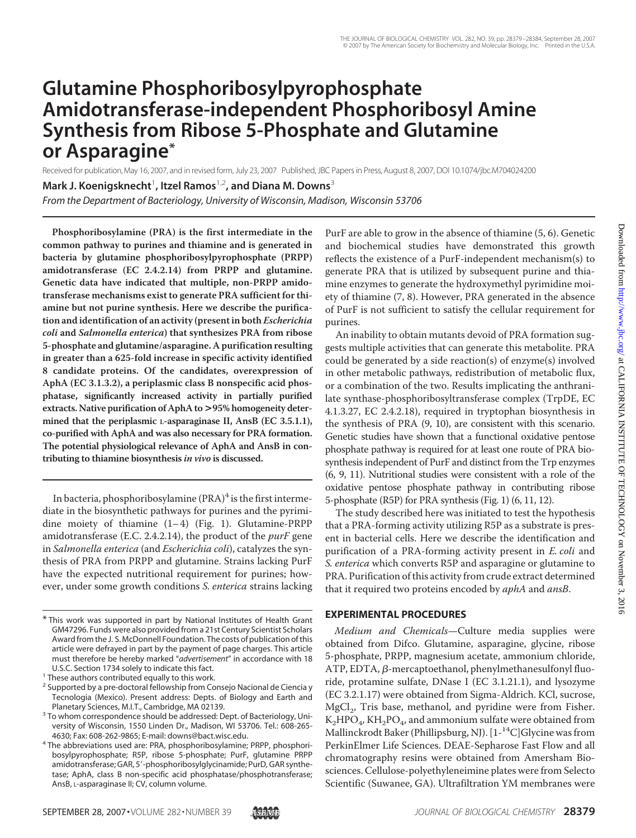# **Glutamine Phosphoribosylpyrophosphate Amidotransferase-independent Phosphoribosyl Amine Synthesis from Ribose 5-Phosphate and Glutamine or Asparagine\***

Received for publication, May 16, 2007, and in revised form, July 23, 2007 Published, JBC Papers in Press, August 8, 2007, DOI 10.1074/jbc.M704024200

**Mark J. Koenigsknecht**<sup>1</sup> **, Itzel Ramos**1,2**, and Diana M. Downs**<sup>3</sup>

*From the Department of Bacteriology, University of Wisconsin, Madison, Wisconsin 53706*

**Phosphoribosylamine (PRA) is the first intermediate in the common pathway to purines and thiamine and is generated in bacteria by glutamine phosphoribosylpyrophosphate (PRPP) amidotransferase (EC 2.4.2.14) from PRPP and glutamine. Genetic data have indicated that multiple, non-PRPP amidotransferase mechanisms exist to generate PRA sufficient for thiamine but not purine synthesis. Here we describe the purification and identification of an activity (present in both** *Escherichia coli* **and** *Salmonella enterica***) that synthesizes PRA from ribose 5-phosphate and glutamine/asparagine. A purification resulting in greater than a 625-fold increase in specific activity identified 8 candidate proteins. Of the candidates, overexpression of AphA (EC 3.1.3.2), a periplasmic class B nonspecific acid phosphatase, significantly increased activity in partially purified extracts. Native purification of AphA to >95% homogeneity determined that the periplasmic L-asparaginase II, AnsB (EC 3.5.1.1), co-purified with AphA and was also necessary for PRA formation. The potential physiological relevance of AphA and AnsB in contributing to thiamine biosynthesis** *in vivo* **is discussed.**

In bacteria, phosphoribosylamine  $(PRA)^4$  is the first intermediate in the biosynthetic pathways for purines and the pyrimidine moiety of thiamine  $(1-4)$  (Fig. 1). Glutamine-PRPP amidotransferase (E.C. 2.4.2.14), the product of the *purF* gene in *Salmonella enterica* (and *Escherichia coli*), catalyzes the synthesis of PRA from PRPP and glutamine. Strains lacking PurF have the expected nutritional requirement for purines; however, under some growth conditions *S. enterica* strains lacking

PurF are able to grow in the absence of thiamine (5, 6). Genetic and biochemical studies have demonstrated this growth reflects the existence of a PurF-independent mechanism(s) to generate PRA that is utilized by subsequent purine and thiamine enzymes to generate the hydroxymethyl pyrimidine moiety of thiamine (7, 8). However, PRA generated in the absence of PurF is not sufficient to satisfy the cellular requirement for purines.

An inability to obtain mutants devoid of PRA formation suggests multiple activities that can generate this metabolite. PRA could be generated by a side reaction(s) of enzyme(s) involved in other metabolic pathways, redistribution of metabolic flux, or a combination of the two. Results implicating the anthranilate synthase-phosphoribosyltransferase complex (TrpDE, EC 4.1.3.27, EC 2.4.2.18), required in tryptophan biosynthesis in the synthesis of PRA (9, 10), are consistent with this scenario. Genetic studies have shown that a functional oxidative pentose phosphate pathway is required for at least one route of PRA biosynthesis independent of PurF and distinct from the Trp enzymes (6, 9, 11). Nutritional studies were consistent with a role of the oxidative pentose phosphate pathway in contributing ribose 5-phosphate (R5P) for PRA synthesis (Fig. 1) (6, 11, 12).

The study described here was initiated to test the hypothesis that a PRA-forming activity utilizing R5P as a substrate is present in bacterial cells. Here we describe the identification and purification of a PRA-forming activity present in *E. coli* and *S. enterica* which converts R5P and asparagine or glutamine to PRA. Purification of this activity from crude extract determined that it required two proteins encoded by *aphA* and *ansB*.

## **EXPERIMENTAL PROCEDURES**

*Medium and Chemicals*—Culture media supplies were obtained from Difco. Glutamine, asparagine, glycine, ribose 5-phosphate, PRPP, magnesium acetate, ammonium chloride,  $ATP$ , EDTA,  $\beta$ -mercaptoethanol, phenylmethanesulfonyl fluoride, protamine sulfate, DNase I (EC 3.1.21.1), and lysozyme (EC 3.2.1.17) were obtained from Sigma-Aldrich. KCl, sucrose,  $MgCl<sub>2</sub>$ , Tris base, methanol, and pyridine were from Fisher.  $K_2HPO_4$ ,  $KH_2PO_4$ , and ammonium sulfate were obtained from Mallinckrodt Baker (Phillipsburg, NJ).  $[1 - {}^{14}C]$ Glycine was from PerkinElmer Life Sciences. DEAE-Sepharose Fast Flow and all chromatography resins were obtained from Amersham Biosciences. Cellulose-polyethyleneimine plates were from Selecto Scientific (Suwanee, GA). Ultrafiltration YM membranes were

<sup>\*</sup> This work was supported in part by National Institutes of Health Grant GM47296. Funds were also provided from a 21st Century Scientist Scholars Award from the J. S. McDonnell Foundation. The costs of publication of this article were defrayed in part by the payment of page charges. This article must therefore be hereby marked "*advertisement*" in accordance with 18 U.S.C. Section 1734 solely to indicate this fact. <sup>1</sup> These authors contributed equally to this work.

<sup>&</sup>lt;sup>2</sup> Supported by a pre-doctoral fellowship from Consejo Nacional de Ciencia y Tecnologia (Mexico). Present address: Depts. of Biology and Earth and Planetary Sciences, M.I.T., Cambridge, MA 02139. <sup>3</sup> To whom correspondence should be addressed: Dept. of Bacteriology, Uni-

versity of Wisconsin, 1550 Linden Dr., Madison, WI 53706. Tel.: 608-265-

<sup>4630;</sup> Fax: 608-262-9865; E-mail: downs@bact.wisc.edu. <sup>4</sup> The abbreviations used are: PRA, phosphoribosylamine; PRPP, phosphoribosylpyrophosphate; R5P, ribose 5-phosphate; PurF, glutamine PRPP amidotransferase; GAR, 5'-phosphoribosylglycinamide; PurD, GAR synthetase; AphA, class B non-specific acid phosphatase/phosphotransferase; AnsB, L-asparaginase II; CV, column volume.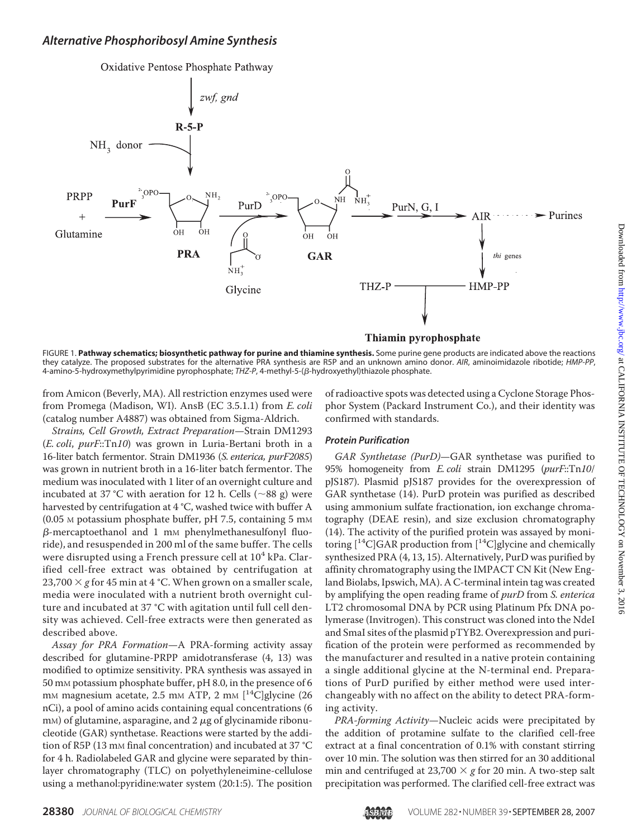## *Alternative Phosphoribosyl Amine Synthesis*

Oxidative Pentose Phosphate Pathway



FIGURE 1. **Pathway schematics; biosynthetic pathway for purine and thiamine synthesis.** Some purine gene products are indicated above the reactions they catalyze. The proposed substrates for the alternative PRA synthesis are R5P and an unknown amino donor. *AIR*, aminoimidazole ribotide; *HMP-PP*, 4-amino-5-hydroxymethylpyrimidine pyrophosphate; *THZ-P*, 4-methyl-5-(-hydroxyethyl)thiazole phosphate.

from Amicon (Beverly, MA). All restriction enzymes used were from Promega (Madison, WI). AnsB (EC 3.5.1.1) from *E. coli* (catalog number A4887) was obtained from Sigma-Aldrich.

*Strains, Cell Growth, Extract Preparation*—Strain DM1293 (*E. coli*, *purF*::Tn*10*) was grown in Luria-Bertani broth in a 16-liter batch fermentor. Strain DM1936 (*S. enterica, purF2085*) was grown in nutrient broth in a 16-liter batch fermentor. The medium was inoculated with 1 liter of an overnight culture and incubated at 37 °C with aeration for 12 h. Cells ( $\sim$ 88 g) were harvested by centrifugation at 4 °C, washed twice with buffer A  $(0.05 \text{ M}$  potassium phosphate buffer, pH 7.5, containing 5 mM  $\beta$ -mercaptoethanol and 1 mm phenylmethanesulfonyl fluoride), and resuspended in 200 ml of the same buffer. The cells were disrupted using a French pressure cell at  $10^4$  kPa. Clarified cell-free extract was obtained by centrifugation at  $23,700 \times g$  for 45 min at 4 °C. When grown on a smaller scale, media were inoculated with a nutrient broth overnight culture and incubated at 37 °C with agitation until full cell density was achieved. Cell-free extracts were then generated as described above.

*Assay for PRA Formation*—A PRA-forming activity assay described for glutamine-PRPP amidotransferase (4, 13) was modified to optimize sensitivity. PRA synthesis was assayed in 50 mM potassium phosphate buffer, pH 8.0, in the presence of 6 mM magnesium acetate, 2.5 mM ATP, 2 mM [<sup>14</sup>C]glycine (26 nCi), a pool of amino acids containing equal concentrations (6 mm) of glutamine, asparagine, and 2  $\mu$ g of glycinamide ribonucleotide (GAR) synthetase. Reactions were started by the addition of R5P (13 mM final concentration) and incubated at 37 °C for 4 h. Radiolabeled GAR and glycine were separated by thinlayer chromatography (TLC) on polyethyleneimine-cellulose using a methanol:pyridine:water system (20:1:5). The position

of radioactive spots was detected using a Cyclone Storage Phosphor System (Packard Instrument Co.), and their identity was confirmed with standards.

#### *Protein Purification*

*GAR Synthetase (PurD)*—GAR synthetase was purified to 95% homogeneity from *E. coli* strain DM1295 (*purF*::Tn*10*/ pJS187). Plasmid pJS187 provides for the overexpression of GAR synthetase (14). PurD protein was purified as described using ammonium sulfate fractionation, ion exchange chromatography (DEAE resin), and size exclusion chromatography (14). The activity of the purified protein was assayed by monitoring  $[14C]GAR$  production from  $[14C]$ glycine and chemically synthesized PRA (4, 13, 15). Alternatively, PurD was purified by affinity chromatography using the IMPACT CN Kit (New England Biolabs, Ipswich, MA). A C-terminal intein tag was created by amplifying the open reading frame of *purD* from *S. enterica* LT2 chromosomal DNA by PCR using Platinum Pfx DNA polymerase (Invitrogen). This construct was cloned into the NdeI and SmaI sites of the plasmid pTYB2. Overexpression and purification of the protein were performed as recommended by the manufacturer and resulted in a native protein containing a single additional glycine at the N-terminal end. Preparations of PurD purified by either method were used interchangeably with no affect on the ability to detect PRA-forming activity.

*PRA-forming Activity*—Nucleic acids were precipitated by the addition of protamine sulfate to the clarified cell-free extract at a final concentration of 0.1% with constant stirring over 10 min. The solution was then stirred for an 30 additional min and centrifuged at  $23,700 \times g$  for 20 min. A two-step salt precipitation was performed. The clarified cell-free extract was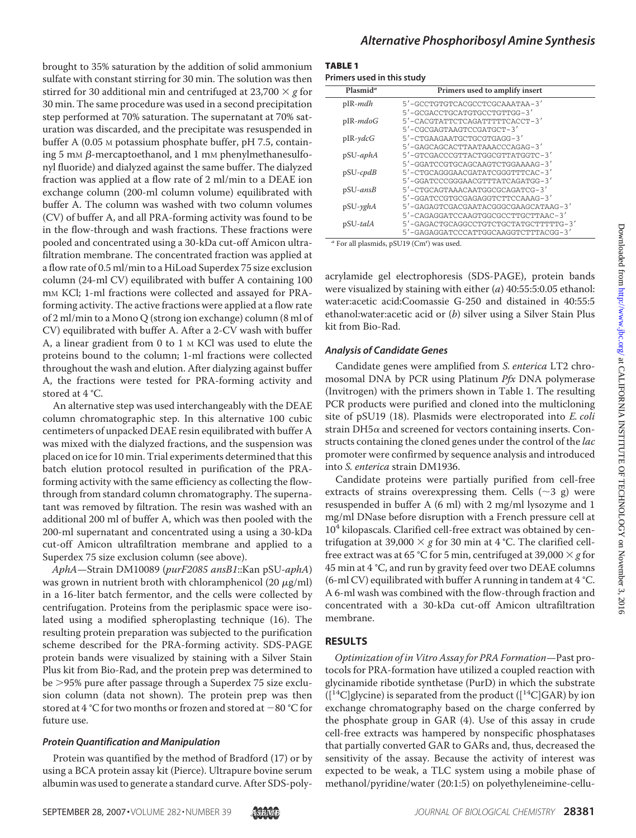brought to 35% saturation by the addition of solid ammonium sulfate with constant stirring for 30 min. The solution was then stirred for 30 additional min and centrifuged at  $23,700 \times g$  for 30 min. The same procedure was used in a second precipitation step performed at 70% saturation. The supernatant at 70% saturation was discarded, and the precipitate was resuspended in buffer A (0.05 M potassium phosphate buffer, pH 7.5, containing 5 mm  $\beta$ -mercaptoethanol, and 1 mm phenylmethanesulfonyl fluoride) and dialyzed against the same buffer. The dialyzed fraction was applied at a flow rate of 2 ml/min to a DEAE ion exchange column (200-ml column volume) equilibrated with buffer A. The column was washed with two column volumes (CV) of buffer A, and all PRA-forming activity was found to be in the flow-through and wash fractions. These fractions were pooled and concentrated using a 30-kDa cut-off Amicon ultrafiltration membrane. The concentrated fraction was applied at a flow rate of 0.5 ml/min to a HiLoad Superdex 75 size exclusion column (24-ml CV) equilibrated with buffer A containing 100 mM KCl; 1-ml fractions were collected and assayed for PRAforming activity. The active fractions were applied at a flow rate of 2 ml/min to a Mono Q (strong ion exchange) column (8 ml of CV) equilibrated with buffer A. After a 2-CV wash with buffer A, a linear gradient from 0 to 1  $\text{M}$  KCl was used to elute the proteins bound to the column; 1-ml fractions were collected throughout the wash and elution. After dialyzing against buffer A, the fractions were tested for PRA-forming activity and stored at 4 °C.

An alternative step was used interchangeably with the DEAE column chromatographic step. In this alternative 100 cubic centimeters of unpacked DEAE resin equilibrated with buffer A was mixed with the dialyzed fractions, and the suspension was placed on ice for 10 min. Trial experiments determined that this batch elution protocol resulted in purification of the PRAforming activity with the same efficiency as collecting the flowthrough from standard column chromatography. The supernatant was removed by filtration. The resin was washed with an additional 200 ml of buffer A, which was then pooled with the 200-ml supernatant and concentrated using a using a 30-kDa cut-off Amicon ultrafiltration membrane and applied to a Superdex 75 size exclusion column (see above).

*AphA*—Strain DM10089 (*purF2085 ansB1*::Kan pSU-*aphA*) was grown in nutrient broth with chloramphenicol (20  $\mu$ g/ml) in a 16-liter batch fermentor, and the cells were collected by centrifugation. Proteins from the periplasmic space were isolated using a modified spheroplasting technique (16). The resulting protein preparation was subjected to the purification scheme described for the PRA-forming activity. SDS-PAGE protein bands were visualized by staining with a Silver Stain Plus kit from Bio-Rad, and the protein prep was determined to be 95% pure after passage through a Superdex 75 size exclusion column (data not shown). The protein prep was then stored at 4 °C for two months or frozen and stored at  $-80$  °C for future use.

#### *Protein Quantification and Manipulation*

Protein was quantified by the method of Bradford (17) or by using a BCA protein assay kit (Pierce). Ultrapure bovine serum albumin was used to generate a standard curve. After SDS-poly-



| TABLE |  |  |
|-------|--|--|
|       |  |  |

| Primers used in this study |  |
|----------------------------|--|
|----------------------------|--|

| Plasmid <sup>a</sup> | Primers used to amplify insert        |
|----------------------|---------------------------------------|
| pIR-mdh              | 5'-GCCTGTGTCACGCCTCGCAAATAA-3'        |
|                      | 5'-GCGACCTGCATGTGCCTGTTGG-3'          |
| pIR-mdoG             | 5'-CACGTATTCTCAGATTTTTCACCT-3'        |
|                      | 5'-CGCGAGTAAGTCCGATGCT-3'             |
| $pIR$ - $\gamma dcG$ | 5'-CTGAAGAATGCTGCGTGAGG-3'            |
|                      | 5'-GAGCAGCACTTAATAAACCCAGAG-3'        |
| pSU-aphA             | 5'-GTCGACCCGTTACTGGCGTTATGGTC-3'      |
|                      | 5'-GGATCCGTGCAGCAAGTCTGGAAAAG-3'      |
| $pSU-cpdB$           | 5'-CTGCAGGGAACGATATCGGGTTTCAC-3'      |
|                      | 5'-GGATCCCGGGAACGTTTATCAGATGG-3'      |
| $pSU-ansB$           | 5'-CTGCAGTAAACAATGGCGCAGATCG-3'       |
|                      | 5'-GGATCCGTGCGAGAGGTCTTCCAAAG-3'      |
| $pSU-yg hA$          | 5'-GAGAGTCGACGAATACGGCCGAAGCATAAG-3'  |
|                      | 5'-CAGAGGATCCAAGTGGCGCCTTGCTTAAC-3'   |
| pSU-talA             | 5'-GAGACTGCAGGCCTGTCTGCTATGCTTTTTG-3' |
|                      | 5'-GAGAGGATCCCATTGGCAAGGTCTTTACGG-3'  |

<sup>*a*</sup> For all plasmids, pSU19 (Cm<sup>r</sup>) was used.

acrylamide gel electrophoresis (SDS-PAGE), protein bands were visualized by staining with either (*a*) 40:55:5:0.05 ethanol: water:acetic acid:Coomassie G-250 and distained in 40:55:5 ethanol:water:acetic acid or (*b*) silver using a Silver Stain Plus kit from Bio-Rad.

## *Analysis of Candidate Genes*

Candidate genes were amplified from *S. enterica* LT2 chromosomal DNA by PCR using Platinum *Pfx* DNA polymerase (Invitrogen) with the primers shown in Table 1. The resulting PCR products were purified and cloned into the multicloning site of pSU19 (18). Plasmids were electroporated into *E. coli* strain DH5 $\alpha$  and screened for vectors containing inserts. Constructs containing the cloned genes under the control of the *lac* promoter were confirmed by sequence analysis and introduced into *S. enterica* strain DM1936.

Candidate proteins were partially purified from cell-free extracts of strains overexpressing them. Cells  $(\sim 3 \text{ g})$  were resuspended in buffer A (6 ml) with 2 mg/ml lysozyme and 1 mg/ml DNase before disruption with a French pressure cell at  $10<sup>4</sup>$  kilopascals. Clarified cell-free extract was obtained by centrifugation at 39,000  $\times$  g for 30 min at 4 °C. The clarified cellfree extract was at 65 °C for 5 min, centrifuged at 39,000  $\times$  g for 45 min at 4 °C, and run by gravity feed over two DEAE columns (6-ml CV) equilibrated with buffer A running in tandem at 4 °C. A 6-ml wash was combined with the flow-through fraction and concentrated with a 30-kDa cut-off Amicon ultrafiltration membrane.

# **RESULTS**

*Optimization of in Vitro Assay for PRA Formation*—Past protocols for PRA-formation have utilized a coupled reaction with glycinamide ribotide synthetase (PurD) in which the substrate  $([14C]$ glycine) is separated from the product  $([14C]GAR)$  by ion exchange chromatography based on the charge conferred by the phosphate group in GAR (4). Use of this assay in crude cell-free extracts was hampered by nonspecific phosphatases that partially converted GAR to GARs and, thus, decreased the sensitivity of the assay. Because the activity of interest was expected to be weak, a TLC system using a mobile phase of methanol/pyridine/water (20:1:5) on polyethyleneimine-cellu-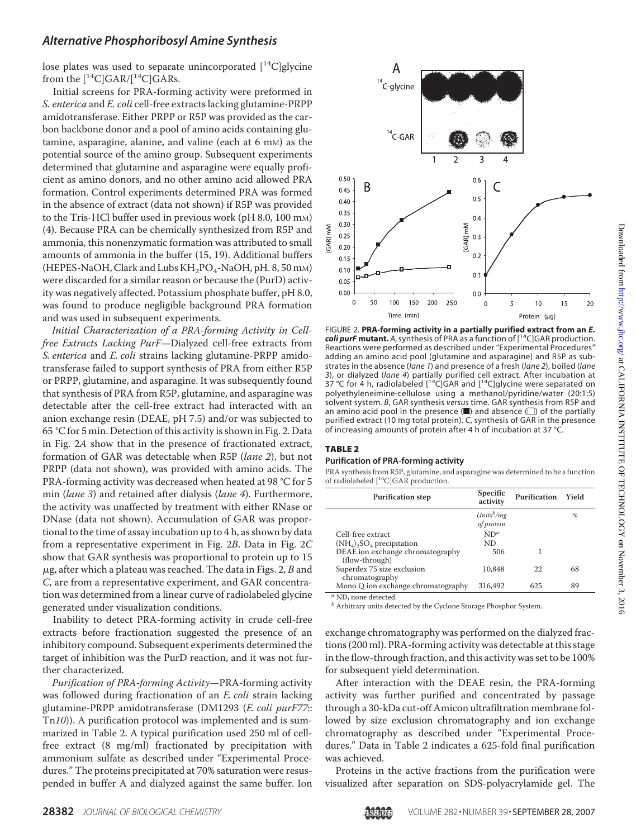## *Alternative Phosphoribosyl Amine Synthesis*

lose plates was used to separate unincorporated  $[$ <sup>14</sup>C $]$ glycine from the  $[$ <sup>14</sup>C]GAR/ $[$ <sup>14</sup>C]GARs.

Initial screens for PRA-forming activity were preformed in *S. enterica* and *E. coli* cell-free extracts lacking glutamine-PRPP amidotransferase. Either PRPP or R5P was provided as the carbon backbone donor and a pool of amino acids containing glutamine, asparagine, alanine, and valine (each at 6 mM) as the potential source of the amino group. Subsequent experiments determined that glutamine and asparagine were equally proficient as amino donors, and no other amino acid allowed PRA formation. Control experiments determined PRA was formed in the absence of extract (data not shown) if R5P was provided to the Tris-HCl buffer used in previous work (pH 8.0, 100 mM) (4). Because PRA can be chemically synthesized from R5P and ammonia, this nonenzymatic formation was attributed to small amounts of ammonia in the buffer (15, 19). Additional buffers (HEPES-NaOH, Clark and Lubs  $KH_2PO_4$ -NaOH, pH. 8, 50 mm) were discarded for a similar reason or because the (PurD) activity was negatively affected. Potassium phosphate buffer, pH 8.0, was found to produce negligible background PRA formation and was used in subsequent experiments.

*Initial Characterization of a PRA-forming Activity in Cellfree Extracts Lacking PurF*—Dialyzed cell-free extracts from *S. enterica* and *E. coli* strains lacking glutamine-PRPP amidotransferase failed to support synthesis of PRA from either R5P or PRPP, glutamine, and asparagine. It was subsequently found that synthesis of PRA from R5P, glutamine, and asparagine was detectable after the cell-free extract had interacted with an anion exchange resin (DEAE, pH 7.5) and/or was subjected to 65 °C for 5 min. Detection of this activity is shown in Fig. 2. Data in Fig. 2*A* show that in the presence of fractionated extract, formation of GAR was detectable when R5P (*lane 2*), but not PRPP (data not shown), was provided with amino acids. The PRA-forming activity was decreased when heated at 98 °C for 5 min (*lane 3*) and retained after dialysis (*lane 4*). Furthermore, the activity was unaffected by treatment with either RNase or DNase (data not shown). Accumulation of GAR was proportional to the time of assay incubation up to 4 h, as shown by data from a representative experiment in Fig. 2*B*. Data in Fig. 2*C* show that GAR synthesis was proportional to protein up to 15 -g, after which a plateau was reached. The data in Figs. 2, *B* and *C*, are from a representative experiment, and GAR concentration was determined from a linear curve of radiolabeled glycine generated under visualization conditions.

Inability to detect PRA-forming activity in crude cell-free extracts before fractionation suggested the presence of an inhibitory compound. Subsequent experiments determined the target of inhibition was the PurD reaction, and it was not further characterized.

*Purification of PRA-forming Activity*—PRA-forming activity was followed during fractionation of an *E. coli* strain lacking glutamine-PRPP amidotransferase (DM1293 (*E. coli purF77*:: Tn*10*)). A purification protocol was implemented and is summarized in Table 2. A typical purification used 250 ml of cellfree extract (8 mg/ml) fractionated by precipitation with ammonium sulfate as described under "Experimental Procedures." The proteins precipitated at 70% saturation were resuspended in buffer A and dialyzed against the same buffer. Ion



FIGURE 2. **PRA-forming activity in a partially purified extract from an** *E. coli purF* **mutant.** *A*, synthesis of PRA as a function of [14C]GAR production. Reactions were performed as described under "Experimental Procedures" adding an amino acid pool (glutamine and asparagine) and R5P as substrates in the absence (*lane 1*) and presence of a fresh (*lane 2*), boiled (*lane 3*), or dialyzed (*lane 4*) partially purified cell extract. After incubation at 37 °C for 4 h, radiolabeled [14C]GAR and [14C]glycine were separated on polyethyleneimine-cellulose using a methanol/pyridine/water (20:1:5) solvent system. *B*, GAR synthesis *versus* time. GAR synthesis from R5P and an amino acid pool in the presence  $(\blacksquare)$  and absence  $(\square)$  of the partially purified extract (10 mg total protein). *C*, synthesis of GAR in the presence of increasing amounts of protein after 4 h of incubation at 37 °C.

#### TABLE 2

#### **Purification of PRA-forming activity**

PRA synthesis from R5P, glutamine, and asparagine was determined to be a function of radiolabeled [14C]GAR production.

| <b>Purification step</b>                                                | <b>Specific</b><br>activity | Purification Yield |    |  |
|-------------------------------------------------------------------------|-----------------------------|--------------------|----|--|
|                                                                         | $Units^b/mg$<br>of protein  |                    | %  |  |
| Cell-free extract<br>$(NH4)$ <sub>2</sub> SO <sub>4</sub> precipitation | $ND^a$<br>ND                |                    |    |  |
| DEAE ion exchange chromatography<br>(flow-through)                      | 506                         |                    |    |  |
| Superdex 75 size exclusion<br>chromatography                            | 10.848                      | 22                 | 68 |  |
| Mono Q ion exchange chromatography<br>.<br>$\alpha$ and $\alpha$        | 316,492                     | 625                | 89 |  |

*<sup>a</sup>* ND, none detected.

*<sup>b</sup>* Arbitrary units detected by the Cyclone Storage Phosphor System.

exchange chromatography was performed on the dialyzed fractions (200 ml). PRA-forming activity was detectable at this stage in the flow-through fraction, and this activity was set to be 100% for subsequent yield determination.

After interaction with the DEAE resin, the PRA-forming activity was further purified and concentrated by passage through a 30-kDa cut-off Amicon ultrafiltration membrane followed by size exclusion chromatography and ion exchange chromatography as described under "Experimental Procedures." Data in Table 2 indicates a 625-fold final purification was achieved.

Proteins in the active fractions from the purification were visualized after separation on SDS-polyacrylamide gel. The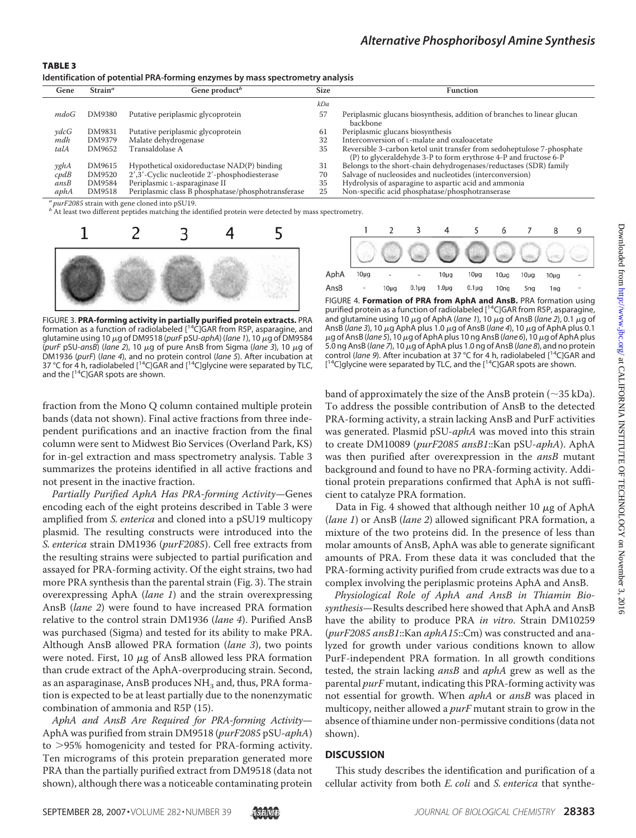| Identification of potential PRA-forming enzymes by mass spectrometry analysis |  |  |
|-------------------------------------------------------------------------------|--|--|
|                                                                               |  |  |

| Gene | Strain <sup>a</sup>                             | Gene product <sup>b</sup>                          | <b>Size</b> | <b>Function</b>                                                                                                                            |  |
|------|-------------------------------------------------|----------------------------------------------------|-------------|--------------------------------------------------------------------------------------------------------------------------------------------|--|
|      |                                                 |                                                    | kDa         |                                                                                                                                            |  |
| mdoG | DM9380                                          | Putative periplasmic glycoprotein                  | 57          | Periplasmic glucans biosynthesis, addition of branches to linear glucan<br>backbone                                                        |  |
| ydcG | DM9831                                          | Putative periplasmic glycoprotein                  | 61          | Periplasmic glucans biosynthesis                                                                                                           |  |
| mdh  | DM9379                                          | Malate dehydrogenase                               | 32          | Interconversion of L-malate and oxaloacetate                                                                                               |  |
| talA | DM9652                                          | Transaldolase A                                    | 35          | Reversible 3-carbon ketol unit transfer from sedoheptulose 7-phosphate<br>(P) to glyceraldehyde 3-P to form erythrose 4-P and fructose 6-P |  |
| yghA | DM9615                                          | Hypothetical oxidoreductase NAD(P) binding         | 31          | Belongs to the short-chain dehydrogenases/reductases (SDR) family                                                                          |  |
| cpdB | DM9520                                          | 2',3'-Cyclic nucleotide 2'-phosphodiesterase       | 70          | Salvage of nucleosides and nucleotides (interconversion)                                                                                   |  |
| ansB | DM9584                                          | Periplasmic L-asparaginase II                      | 35          | Hydrolysis of asparagine to aspartic acid and ammonia                                                                                      |  |
| aphA | DM9518                                          | Periplasmic class B phosphatase/phosphotransferase | 25          | Non-specific acid phosphatase/phosphotranserase                                                                                            |  |
|      | a nur F2085 strain with gone cloned into nSIJ19 |                                                    |             |                                                                                                                                            |  |

 $\overline{P}^2$ At least two different peptides matching the identified protein were detected by mass spectrometry.



FIGURE 3. **PRA-forming activity in partially purified protein extracts.** PRA formation as a function of radiolabeled [<sup>14</sup>C]GAR from R5P, asparagine, and glutamine using 10 μg of DM9518 (purF pSU-aphA) (lane 1), 10 μg of DM9584 (purF pSU-ansB) (lane 2), 10 μg of pure AnsB from Sigma (lane 3), 10 μg of DM1936 (*purF*) (*lane 4*), and no protein control (*lane 5*). After incubation at 37 °C for 4 h, radiolabeled  $[$ <sup>14</sup>C]GAR and  $[$ <sup>14</sup>C]glycine were separated by TLC, and the  $[^{14}C]$ GAR spots are shown.

fraction from the Mono Q column contained multiple protein bands (data not shown). Final active fractions from three independent purifications and an inactive fraction from the final column were sent to Midwest Bio Services (Overland Park, KS) for in-gel extraction and mass spectrometry analysis. Table 3 summarizes the proteins identified in all active fractions and not present in the inactive fraction.

*Partially Purified AphA Has PRA-forming Activity*—Genes encoding each of the eight proteins described in Table 3 were amplified from *S. enterica* and cloned into a pSU19 multicopy plasmid. The resulting constructs were introduced into the *S. enterica* strain DM1936 (*purF2085*). Cell free extracts from the resulting strains were subjected to partial purification and assayed for PRA-forming activity. Of the eight strains, two had more PRA synthesis than the parental strain (Fig. 3). The strain overexpressing AphA (*lane 1*) and the strain overexpressing AnsB (*lane 2*) were found to have increased PRA formation relative to the control strain DM1936 (*lane 4*). Purified AnsB was purchased (Sigma) and tested for its ability to make PRA. Although AnsB allowed PRA formation (*lane 3*), two points were noted. First, 10  $\mu$ g of AnsB allowed less PRA formation than crude extract of the AphA-overproducing strain. Second, as an asparaginase, AnsB produces  $NH<sub>3</sub>$  and, thus, PRA formation is expected to be at least partially due to the nonenzymatic combination of ammonia and R5P (15).

*AphA and AnsB Are Required for PRA-forming Activity*— AphA was purified from strain DM9518 (*purF2085* pSU-*aphA*) to 95% homogenicity and tested for PRA-forming activity. Ten micrograms of this protein preparation generated more PRA than the partially purified extract from DM9518 (data not shown), although there was a noticeable contaminating protein



FIGURE 4. **Formation of PRA from AphA and AnsB.** PRA formation using purified protein as a function of radiolabeled [<sup>14</sup>C]GAR from R5P, asparagine, and glutamine using 10  $\mu$ g of AphA (*lane 1*), 10  $\mu$ g of AnsB (*lane 2*), 0.1  $\mu$ g of AnsB (*lane 3*), 10 μg AphA plus 1.0 μg of AnsB (*lane 4*), 10 μg of AphA plus 0.1  $\mu$ g of AnsB (*lane 5*), 10  $\mu$ g of AphA plus 10 ng AnsB (*lane 6*), 10  $\mu$ g of AphA plus 5.0 ng AnsB (*lane 7*), 10 µg of AphA plus 1.0 ng of AnsB (*lane 8*), and no protein control (*lane 9*). After incubation at 37 °C for 4 h, radiolabeled [<sup>14</sup>C]GAR and [<sup>14</sup>C]glycine were separated by TLC, and the [<sup>14</sup>C]GAR spots are shown.

band of approximately the size of the AnsB protein ( $\sim$ 35 kDa). To address the possible contribution of AnsB to the detected PRA-forming activity, a strain lacking AnsB and PurF activities was generated. Plasmid pSU-*aphA* was moved into this strain to create DM10089 (*purF2085 ansB1*::Kan pSU-*aphA*). AphA was then purified after overexpression in the *ansB* mutant background and found to have no PRA-forming activity. Additional protein preparations confirmed that AphA is not sufficient to catalyze PRA formation.

Data in Fig. 4 showed that although neither 10  $\mu$ g of AphA (*lane 1*) or AnsB (*lane 2*) allowed significant PRA formation, a mixture of the two proteins did. In the presence of less than molar amounts of AnsB, AphA was able to generate significant amounts of PRA. From these data it was concluded that the PRA-forming activity purified from crude extracts was due to a complex involving the periplasmic proteins AphA and AnsB.

*Physiological Role of AphA and AnsB in Thiamin Biosynthesis*—Results described here showed that AphA and AnsB have the ability to produce PRA *in vitro*. Strain DM10259 (*purF2085 ansB1*::Kan *aphA15*::Cm) was constructed and analyzed for growth under various conditions known to allow PurF-independent PRA formation. In all growth conditions tested, the strain lacking *ansB* and *aphA* grew as well as the parental *purF* mutant, indicating this PRA-forming activity was not essential for growth. When *aphA* or *ansB* was placed in multicopy, neither allowed a *purF* mutant strain to grow in the absence of thiamine under non-permissive conditions (data not shown).

#### **DISCUSSION**

This study describes the identification and purification of a cellular activity from both *E. coli* and *S. enterica* that synthe-

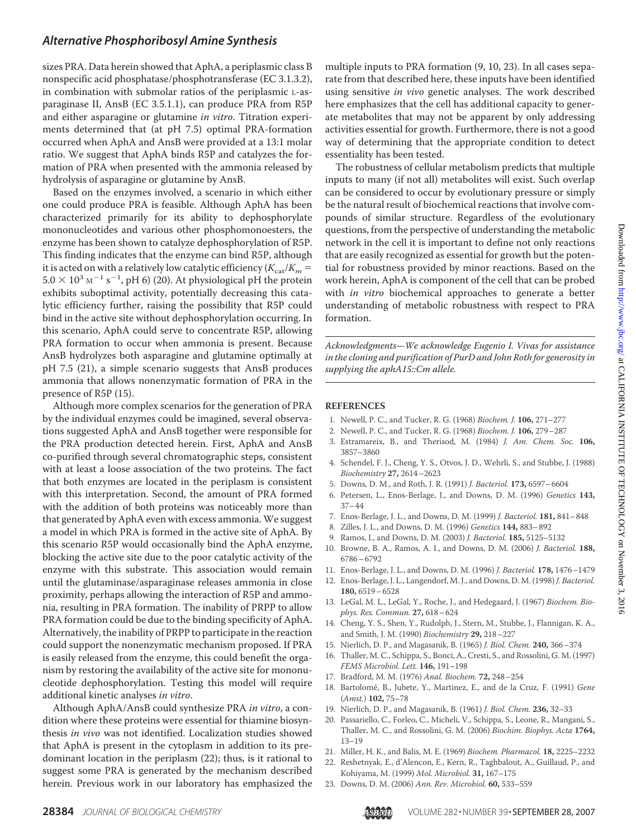## *Alternative Phosphoribosyl Amine Synthesis*

sizes PRA. Data herein showed that AphA, a periplasmic class B nonspecific acid phosphatase/phosphotransferase (EC 3.1.3.2), in combination with submolar ratios of the periplasmic L-asparaginase II, AnsB (EC 3.5.1.1), can produce PRA from R5P and either asparagine or glutamine *in vitro*. Titration experiments determined that (at pH 7.5) optimal PRA-formation occurred when AphA and AnsB were provided at a 13:1 molar ratio. We suggest that AphA binds R5P and catalyzes the formation of PRA when presented with the ammonia released by hydrolysis of asparagine or glutamine by AnsB.

Based on the enzymes involved, a scenario in which either one could produce PRA is feasible. Although AphA has been characterized primarily for its ability to dephosphorylate mononucleotides and various other phosphomonoesters, the enzyme has been shown to catalyze dephosphorylation of R5P. This finding indicates that the enzyme can bind R5P, although it is acted on with a relatively low catalytic efficiency  $(K_{\text{cat}}/K_m =$  $5.0 \times 10^3$  M<sup>-1</sup> s<sup>-1</sup>, pH 6) (20). At physiological pH the protein exhibits suboptimal activity, potentially decreasing this catalytic efficiency further, raising the possibility that R5P could bind in the active site without dephosphorylation occurring. In this scenario, AphA could serve to concentrate R5P, allowing PRA formation to occur when ammonia is present. Because AnsB hydrolyzes both asparagine and glutamine optimally at pH 7.5 (21), a simple scenario suggests that AnsB produces ammonia that allows nonenzymatic formation of PRA in the presence of R5P (15).

Although more complex scenarios for the generation of PRA by the individual enzymes could be imagined, several observations suggested AphA and AnsB together were responsible for the PRA production detected herein. First, AphA and AnsB co-purified through several chromatographic steps, consistent with at least a loose association of the two proteins. The fact that both enzymes are located in the periplasm is consistent with this interpretation. Second, the amount of PRA formed with the addition of both proteins was noticeably more than that generated by AphA even with excess ammonia.We suggest a model in which PRA is formed in the active site of AphA. By this scenario R5P would occasionally bind the AphA enzyme, blocking the active site due to the poor catalytic activity of the enzyme with this substrate. This association would remain until the glutaminase/asparaginase releases ammonia in close proximity, perhaps allowing the interaction of R5P and ammonia, resulting in PRA formation. The inability of PRPP to allow PRA formation could be due to the binding specificity of AphA. Alternatively, the inability of PRPP to participate in the reaction could support the nonenzymatic mechanism proposed. If PRA is easily released from the enzyme, this could benefit the organism by restoring the availability of the active site for mononucleotide dephosphorylation. Testing this model will require additional kinetic analyses *in vitro*.

Although AphA/AnsB could synthesize PRA *in vitro*, a condition where these proteins were essential for thiamine biosynthesis *in vivo* was not identified. Localization studies showed that AphA is present in the cytoplasm in addition to its predominant location in the periplasm (22); thus, is it rational to suggest some PRA is generated by the mechanism described herein. Previous work in our laboratory has emphasized the multiple inputs to PRA formation (9, 10, 23). In all cases separate from that described here, these inputs have been identified using sensitive *in vivo* genetic analyses. The work described here emphasizes that the cell has additional capacity to generate metabolites that may not be apparent by only addressing activities essential for growth. Furthermore, there is not a good way of determining that the appropriate condition to detect essentiality has been tested.

The robustness of cellular metabolism predicts that multiple inputs to many (if not all) metabolites will exist. Such overlap can be considered to occur by evolutionary pressure or simply be the natural result of biochemical reactions that involve compounds of similar structure. Regardless of the evolutionary questions, from the perspective of understanding the metabolic network in the cell it is important to define not only reactions that are easily recognized as essential for growth but the potential for robustness provided by minor reactions. Based on the work herein, AphA is component of the cell that can be probed with *in vitro* biochemical approaches to generate a better understanding of metabolic robustness with respect to PRA formation.

*Acknowledgments—We acknowledge Eugenio I. Vivas for assistance in the cloning and purification of PurD and John Roth for generosity in supplying the aphA15::Cm allele.*

#### **REFERENCES**

- 1. Newell, P. C., and Tucker, R. G. (1968) *Biochem. J.* **106,** 271–277
- 2. Newell, P. C., and Tucker, R. G. (1968) *Biochem. J.* **106,** 279–287
- 3. Estramareix, B., and Therisod, M. (1984) *J. Am. Chem. Soc.* **106,** 3857–3860
- 4. Schendel, F. J., Cheng, Y. S., Otvos, J. D., Wehrli, S., and Stubbe, J. (1988) *Biochemistry* **27,** 2614–2623
- 5. Downs, D. M., and Roth, J. R. (1991) *J. Bacteriol.* **173,** 6597–6604
- 6. Petersen, L., Enos-Berlage, J., and Downs, D. M. (1996) *Genetics* **143,** 37–44
- 7. Enos-Berlage, J. L., and Downs, D. M. (1999) *J. Bacteriol.* **181,** 841–848
- 8. Zilles, J. L., and Downs, D. M. (1996) *Genetics* **144,** 883–892
- 9. Ramos, I., and Downs, D. M. (2003) *J. Bacteriol.* **185,** 5125–5132
- 10. Browne, B. A., Ramos, A. I., and Downs, D. M. (2006) *J. Bacteriol.* **188,** 6786–6792
- 11. Enos-Berlage, J. L., and Downs, D. M. (1996) *J. Bacteriol.* **178,** 1476–1479
- 12. Enos-Berlage, J. L., Langendorf, M. J., and Downs, D. M. (1998) *J. Bacteriol.* **180,** 6519–6528
- 13. LeGal, M. L., LeGal, Y., Roche, J., and Hedegaard, J. (1967) *Biochem. Biophys. Res. Commun.* **27,** 618–624
- 14. Cheng, Y. S., Shen, Y., Rudolph, J., Stern, M., Stubbe, J., Flannigan, K. A., and Smith, J. M. (1990) *Biochemistry* **29,** 218–227
- 15. Nierlich, D. P., and Magasanik, B. (1965) *J. Biol. Chem.* **240,** 366–374
- 16. Thaller, M. C., Schippa, S., Bonci, A., Cresti, S., and Rossolini, G. M. (1997) *FEMS Microbiol. Lett.* **146,** 191–198
- 17. Bradford, M. M. (1976) *Anal. Biochem.* **72,** 248–254
- 18. Bartolome´, B., Jubete, Y., Martinez, E., and de la Cruz, F. (1991) *Gene* (*Amst.*) **102,** 75–78
- 19. Nierlich, D. P., and Magasanik, B. (1961) *J. Biol. Chem.* **236,** 32–33
- 20. Passariello, C., Forleo, C., Micheli, V., Schippa, S., Leone, R., Mangani, S., Thaller, M. C., and Rossolini, G. M. (2006) *Biochim. Biophys. Acta* **1764,** 13–19
- 21. Miller, H. K., and Balis, M. E. (1969) *Biochem. Pharmacol.* **18,** 2225–2232
- 22. Reshetnyak, E., d'Alencon, E., Kern, R., Taghbalout, A., Guillaud, P., and Kohiyama, M. (1999) *Mol. Microbiol.* **31,** 167–175
- 23. Downs, D. M. (2006) *Ann. Rev. Microbiol.* **60,** 533–559